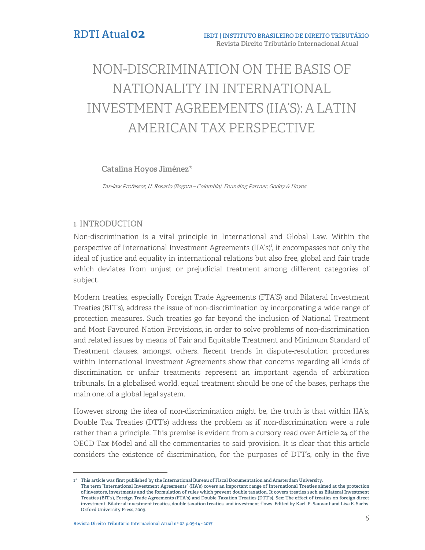# NON-DISCRIMINATION ON THE BASIS OF NATIONALITY IN INTERNATIONAL INVESTMENT AGREEMENTS (IIA'S): A LATIN AMERICAN TAX PERSPECTIVE

## **Catalina Hoyos Jiménez\***

Tax-law Professor, U. Rosario (Bogota – Colombia). Founding Partner, Godoy & Hoyos

## 1. INTRODUCTION

Non-discrimination is a vital principle in International and Global Law. Within the perspective of International Investment Agreements (IIA's)<sup>1</sup>, it encompasses not only the ideal of justice and equality in international relations but also free, global and fair trade which deviates from unjust or prejudicial treatment among different categories of subject.

Modern treaties, especially Foreign Trade Agreements (FTA'S) and Bilateral Investment Treaties (BIT's), address the issue of non-discrimination by incorporating a wide range of protection measures. Such treaties go far beyond the inclusion of National Treatment and Most Favoured Nation Provisions, in order to solve problems of non-discrimination and related issues by means of Fair and Equitable Treatment and Minimum Standard of Treatment clauses, amongst others. Recent trends in dispute-resolution procedures within International Investment Agreements show that concerns regarding all kinds of discrimination or unfair treatments represent an important agenda of arbitration tribunals. In a globalised world, equal treatment should be one of the bases, perhaps the main one, of a global legal system.

However strong the idea of non-discrimination might be, the truth is that within IIA's, Double Tax Treaties (DTT's) address the problem as if non-discrimination were a rule rather than a principle. This premise is evident from a cursory read over Article 24 of the OECD Tax Model and all the commentaries to said provision. It is clear that this article considers the existence of discrimination, for the purposes of DTT's, only in the five

j

**<sup>1\*</sup> This article was first published by the International Bureau of Fiscal Documentation and Amsterdam University. The term "International Investment Agreements" (IIA's) covers an important range of International Treaties aimed at the protection of investors, investments and the formulation of rules which prevent double taxation. It covers treaties such as Bilateral Investment Treaties (BIT's), Foreign Trade Agreements (FTA's) and Double Taxation Treaties (DTT's). See: The effect of treaties on foreign direct investment. Bilateral investment treaties, double taxation treaties, and investment flows. Edited by Karl. P. Sauvant and Lisa E. Sachs. Oxford University Press, 2009.**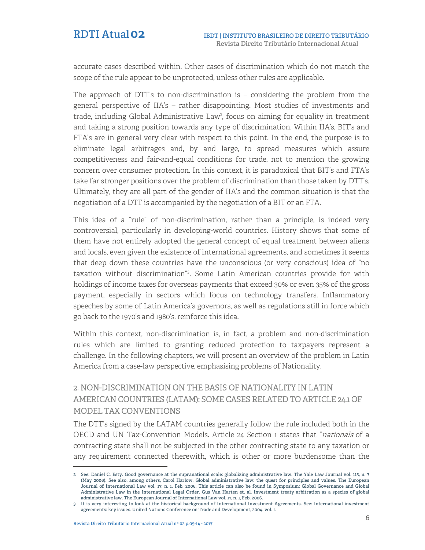accurate cases described within. Other cases of discrimination which do not match the scope of the rule appear to be unprotected, unless other rules are applicable.

The approach of DTT's to non-discrimination is  $-$  considering the problem from the general perspective of IIA's – rather disappointing. Most studies of investments and trade, including Global Administrative Law<sup>2</sup>, focus on aiming for equality in treatment and taking a strong position towards any type of discrimination. Within IIA's, BIT's and FTA's are in general very clear with respect to this point. In the end, the purpose is to eliminate legal arbitrages and, by and large, to spread measures which assure competitiveness and fair-and-equal conditions for trade, not to mention the growing concern over consumer protection. In this context, it is paradoxical that BIT's and FTA's take far stronger positions over the problem of discrimination than those taken by DTT's. Ultimately, they are all part of the gender of IIA's and the common situation is that the negotiation of a DTT is accompanied by the negotiation of a BIT or an FTA.

This idea of a "rule" of non-discrimination, rather than a principle, is indeed very controversial, particularly in developing-world countries. History shows that some of them have not entirely adopted the general concept of equal treatment between aliens and locals, even given the existence of international agreements, and sometimes it seems that deep down these countries have the unconscious (or very conscious) idea of "no taxation without discrimination"<sup>3</sup> . Some Latin American countries provide for with holdings of income taxes for overseas payments that exceed 30% or even 35% of the gross payment, especially in sectors which focus on technology transfers. Inflammatory speeches by some of Latin America's governors, as well as regulations still in force which go back to the 1970's and 1980's, reinforce this idea.

Within this context, non-discrimination is, in fact, a problem and non-discrimination rules which are limited to granting reduced protection to taxpayers represent a challenge. In the following chapters, we will present an overview of the problem in Latin America from a case-law perspective, emphasising problems of Nationality.

# 2. NON-DISCRIMINATION ON THE BASIS OF NATIONALITY IN LATIN AMERICAN COUNTRIES (LATAM): SOME CASES RELATED TO ARTICLE 24.1 OF MODEL TAX CONVENTIONS

The DTT's signed by the LATAM countries generally follow the rule included both in the OECD and UN Tax-Convention Models. Article 24 Section 1 states that "nationals of a contracting state shall not be subjected in the other contracting state to any taxation or any requirement connected therewith, which is other or more burdensome than the

j **2 See: Daniel C. Esty. Good governance at the supranational scale: globalizing administrative law. The Yale Law Journal vol. 115, n. 7 (May 2006). See also, among others, Carol Harlow. Global administrative law: the quest for principles and values. The European Journal of International Law vol. 17, n. 1, Feb. 2006. This article can also be found in Symposium: Global Governance and Global Administrative Law in the International Legal Order. Gus Van Harten et. al. Investment treaty arbitration as a species of global administrative law. The European Journal of International Law vol. 17, n. 1, Feb. 2006.**

**<sup>3</sup> It is very interesting to look at the historical background of International Investment Agreements. See: International investment agreements: key issues. United Nations Conference on Trade and Development, 2004. vol. I.**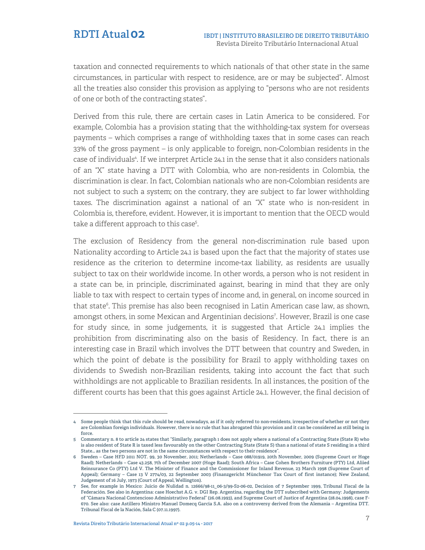taxation and connected requirements to which nationals of that other state in the same circumstances, in particular with respect to residence, are or may be subjected". Almost all the treaties also consider this provision as applying to "persons who are not residents of one or both of the contracting states".

Derived from this rule, there are certain cases in Latin America to be considered. For example, Colombia has a provision stating that the withholding-tax system for overseas payments – which comprises a range of withholding taxes that in some cases can reach 33% of the gross payment – is only applicable to foreign, non-Colombian residents in the case of individuals<sup>4</sup>. If we interpret Article 24.1 in the sense that it also considers nationals of an "X" state having a DTT with Colombia, who are non-residents in Colombia, the discrimination is clear. In fact, Colombian nationals who are non-Colombian residents are not subject to such a system; on the contrary, they are subject to far lower withholding taxes. The discrimination against a national of an "X" state who is non-resident in Colombia is, therefore, evident. However, it is important to mention that the OECD would take a different approach to this case<sup>5</sup>.

The exclusion of Residency from the general non-discrimination rule based upon Nationality according to Article 24.1 is based upon the fact that the majority of states use residence as the criterion to determine income-tax liability, as residents are usually subject to tax on their worldwide income. In other words, a person who is not resident in a state can be, in principle, discriminated against, bearing in mind that they are only liable to tax with respect to certain types of income and, in general, on income sourced in that state<sup>6</sup>. This premise has also been recognised in Latin American case law, as shown, amongst others, in some Mexican and Argentinian decisions<sup>7</sup> . However, Brazil is one case for study since, in some judgements, it is suggested that Article 24.1 implies the prohibition from discriminating also on the basis of Residency. In fact, there is an interesting case in Brazil which involves the DTT between that country and Sweden, in which the point of debate is the possibility for Brazil to apply withholding taxes on dividends to Swedish non-Brazilian residents, taking into account the fact that such withholdings are not applicable to Brazilian residents. In all instances, the position of the different courts has been that this goes against Article 24.1. However, the final decision of

j **4 Some people think that this rule should be read, nowadays, as if it only referred to non-residents, irrespective of whether or not they are Colombian foreign individuals. However, there is no rule that has abrogated this provision and it can be considered as still being in force.**

**<sup>5</sup> Commentary n. 8 to article 24 states that "Similarly, paragraph 1 does not apply where a national of a Contracting State (State R) who is also resident of State R is taxed less favourably on the other Contracting State (State S) than a national of state S residing in a third State… as the two persons are not in the same circumstances with respect to their residence".**

**<sup>6</sup> Sweden – Case HFD 2011 NOT. 99, 30 November, 2011; Netherlands – Case 088/01919, 20th November, 2009 (Supreme Court or Hoge Raad); Netherlands – Case 43.258, 7th of December 2007 (Hoge Raad); South Africa – Case Cohen Brothers Furniture (PTY) Ltd, Aliied Reinsurance Co (PTY) Ltd V. The Minister of Finance and the Commissioner for Inland Revenue, 23 March 1998 (Supreme Court of Appeal); Germany – Case 13 V 2774/03, 22 September 2003 (Finanzgericht Münchenor Tax Court of first instance); New Zealand, Judgement of 16 July, 1973 (Court of Appeal, Wellington).**

**<sup>7</sup> See, for example in Mexico: Juicio de Nulidad n. 12666/98-11\_06-3/99-S2-06-02, Decision of 7 September 1999, Tribunal Fiscal de la Federación. See also in Argentina: case Hoechst A.G. v. DGI Rep. Argentina, regarding the DTT subscribed with Germany: Judgements of "Cámara Nacional Contencioso Administrativo Federal" (26.08.1993), and Supreme Court of Justice of Argentina (28.04.1998), case F-670. See also: case Astillero Ministro Manuel Domecq García S.A. also on a controversy derived from the Alemania – Argentina DTT. Tribunal Fiscal de la Nación, Sala C (07.11.1997).**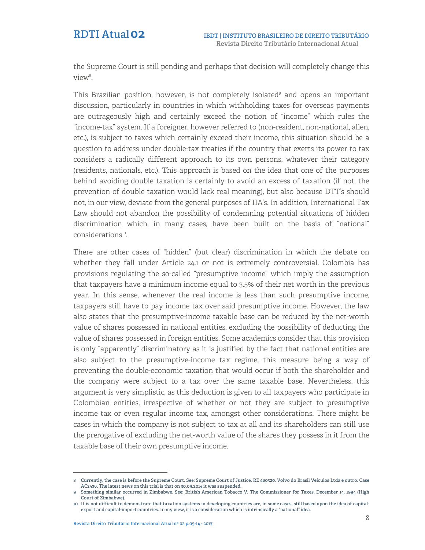the Supreme Court is still pending and perhaps that decision will completely change this view<sup>8</sup>.

This Brazilian position, however, is not completely isolated<sup>9</sup> and opens an important discussion, particularly in countries in which withholding taxes for overseas payments are outrageously high and certainly exceed the notion of "income" which rules the "income-tax" system. If a foreigner, however referred to (non-resident, non-national, alien, etc.), is subject to taxes which certainly exceed their income, this situation should be a question to address under double-tax treaties if the country that exerts its power to tax considers a radically different approach to its own persons, whatever their category (residents, nationals, etc.). This approach is based on the idea that one of the purposes behind avoiding double taxation is certainly to avoid an excess of taxation (if not, the prevention of double taxation would lack real meaning), but also because DTT's should not, in our view, deviate from the general purposes of IIA's. In addition, International Tax Law should not abandon the possibility of condemning potential situations of hidden discrimination which, in many cases, have been built on the basis of "national" considerations<sup>10</sup>.

There are other cases of "hidden" (but clear) discrimination in which the debate on whether they fall under Article 24.1 or not is extremely controversial. Colombia has provisions regulating the so-called "presumptive income" which imply the assumption that taxpayers have a minimum income equal to 3.5% of their net worth in the previous year. In this sense, whenever the real income is less than such presumptive income, taxpayers still have to pay income tax over said presumptive income. However, the law also states that the presumptive-income taxable base can be reduced by the net-worth value of shares possessed in national entities, excluding the possibility of deducting the value of shares possessed in foreign entities. Some academics consider that this provision is only "apparently" discriminatory as it is justified by the fact that national entities are also subject to the presumptive-income tax regime, this measure being a way of preventing the double-economic taxation that would occur if both the shareholder and the company were subject to a tax over the same taxable base. Nevertheless, this argument is very simplistic, as this deduction is given to all taxpayers who participate in Colombian entities, irrespective of whether or not they are subject to presumptive income tax or even regular income tax, amongst other considerations. There might be cases in which the company is not subject to tax at all and its shareholders can still use the prerogative of excluding the net-worth value of the shares they possess in it from the taxable base of their own presumptive income.

j **8 Currently, the case is before the Supreme Court. See: Supreme Court of Justice. RE 460320. Volvo do Brasil Veículos Ltda e outro. Case AC2436. The latest news on this trial is that on 30.09.2014 it was suspended.**

**<sup>9</sup> Something similar occurred in Zimbabwe. See: British American Tobacco V. The Commissioner for Taxes, December 14, 1994 (High Court of Zimbabwe).**

**<sup>10</sup> It is not difficult to demonstrate that taxation systems in developing countries are, in some cases, still based upon the idea of capitalexport and capital-import countries. In my view, it is a consideration which is intrinsically a "national" idea.**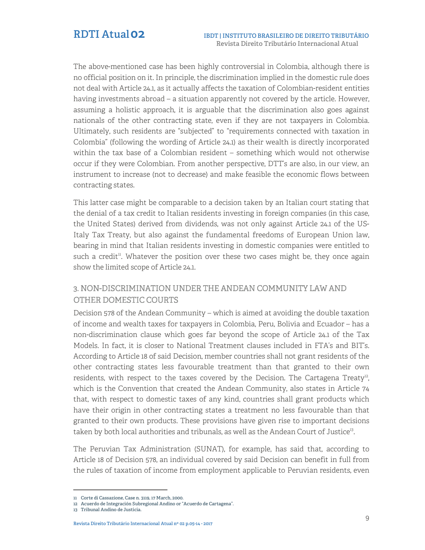The above-mentioned case has been highly controversial in Colombia, although there is no official position on it. In principle, the discrimination implied in the domestic rule does not deal with Article 24.1, as it actually affects the taxation of Colombian-resident entities having investments abroad – a situation apparently not covered by the article. However, assuming a holistic approach, it is arguable that the discrimination also goes against nationals of the other contracting state, even if they are not taxpayers in Colombia. Ultimately, such residents are "subjected" to "requirements connected with taxation in Colombia" (following the wording of Article 24.1) as their wealth is directly incorporated within the tax base of a Colombian resident – something which would not otherwise occur if they were Colombian. From another perspective, DTT's are also, in our view, an instrument to increase (not to decrease) and make feasible the economic flows between contracting states.

This latter case might be comparable to a decision taken by an Italian court stating that the denial of a tax credit to Italian residents investing in foreign companies (in this case, the United States) derived from dividends, was not only against Article 24.1 of the US-Italy Tax Treaty, but also against the fundamental freedoms of European Union law, bearing in mind that Italian residents investing in domestic companies were entitled to such a credit<sup>11</sup>. Whatever the position over these two cases might be, they once again show the limited scope of Article 24.1.

# 3. NON-DISCRIMINATION UNDER THE ANDEAN COMMUNITY LAW AND OTHER DOMESTIC COURTS

Decision 578 of the Andean Community – which is aimed at avoiding the double taxation of income and wealth taxes for taxpayers in Colombia, Peru, Bolivia and Ecuador – has a non-discrimination clause which goes far beyond the scope of Article 24.1 of the Tax Models. In fact, it is closer to National Treatment clauses included in FTA's and BIT's. According to Article 18 of said Decision, member countries shall not grant residents of the other contracting states less favourable treatment than that granted to their own residents, with respect to the taxes covered by the Decision. The Cartagena Treaty<sup>12</sup>, which is the Convention that created the Andean Community, also states in Article 74 that, with respect to domestic taxes of any kind, countries shall grant products which have their origin in other contracting states a treatment no less favourable than that granted to their own products. These provisions have given rise to important decisions taken by both local authorities and tribunals, as well as the Andean Court of Justice<sup>13</sup>.

The Peruvian Tax Administration (SUNAT), for example, has said that, according to Article 18 of Decision 578, an individual covered by said Decision can benefit in full from the rules of taxation of income from employment applicable to Peruvian residents, even

j

**<sup>11</sup> Corte di Cassazione, Case n. 3119, 17 March, 2000.**

**<sup>12</sup> Acuerdo de Integración Subregional Andino or "Acuerdo de Cartagena".**

**<sup>13</sup> Tribunal Andino de Justicia.**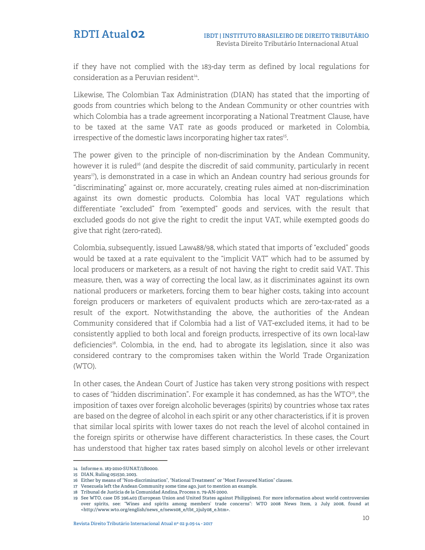if they have not complied with the 183-day term as defined by local regulations for consideration as a Peruvian resident<sup>14</sup>.

Likewise, The Colombian Tax Administration (DIAN) has stated that the importing of goods from countries which belong to the Andean Community or other countries with which Colombia has a trade agreement incorporating a National Treatment Clause, have to be taxed at the same VAT rate as goods produced or marketed in Colombia, irrespective of the domestic laws incorporating higher tax rates<sup>15</sup>.

The power given to the principle of non-discrimination by the Andean Community, however it is ruled<sup>16</sup> (and despite the discredit of said community, particularly in recent years<sup>17</sup>), is demonstrated in a case in which an Andean country had serious grounds for "discriminating" against or, more accurately, creating rules aimed at non-discrimination against its own domestic products. Colombia has local VAT regulations which differentiate "excluded" from "exempted" goods and services, with the result that excluded goods do not give the right to credit the input VAT, while exempted goods do give that right (zero-rated).

Colombia, subsequently, issued Law488/98, which stated that imports of "excluded" goods would be taxed at a rate equivalent to the "implicit VAT" which had to be assumed by local producers or marketers, as a result of not having the right to credit said VAT. This measure, then, was a way of correcting the local law, as it discriminates against its own national producers or marketers, forcing them to bear higher costs, taking into account foreign producers or marketers of equivalent products which are zero-tax-rated as a result of the export. Notwithstanding the above, the authorities of the Andean Community considered that if Colombia had a list of VAT-excluded items, it had to be consistently applied to both local and foreign products, irrespective of its own local-law deficiencies<sup>18</sup>. Colombia, in the end, had to abrogate its legislation, since it also was considered contrary to the compromises taken within the World Trade Organization (WTO).

In other cases, the Andean Court of Justice has taken very strong positions with respect to cases of "hidden discrimination". For example it has condemned, as has the  $WTO^{19}$ , the imposition of taxes over foreign alcoholic beverages (spirits) by countries whose tax rates are based on the degree of alcohol in each spirit or any other characteristics, if it is proven that similar local spirits with lower taxes do not reach the level of alcohol contained in the foreign spirits or otherwise have different characteristics. In these cases, the Court has understood that higher tax rates based simply on alcohol levels or other irrelevant

j

**<sup>14</sup> Informe n. 183-2010-SUNAT/2B0000.**

**<sup>15</sup> DIAN, Ruling 051530, 2003.**

**<sup>16</sup> Either by means of "Non-discrimination", "National Treatment" or "Most Favoured Nation" clauses.**

**<sup>17</sup> Venezuela left the Andean Community some time ago, just to mention an example.**

**<sup>18</sup> Tribunal de Justicia de la Comunidad Andina, Process n. 79-AN-2000.**

**<sup>19</sup> See WTO, case DS 396,403 (European Union and United States against Philippines). For more information about world controversies over spirits, see: "Wines and spirits among members' trade concerns": WTO 2008 News Item, 2 July 2008, found at <http://www.wto.org/english/news\_e/news08\_e/tbt\_2july08\_e.htm>.**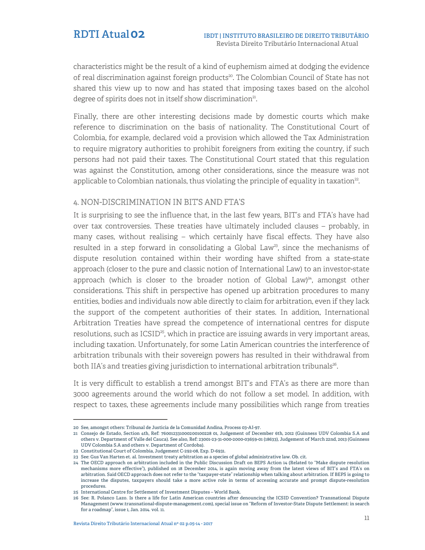characteristics might be the result of a kind of euphemism aimed at dodging the evidence of real discrimination against foreign products<sup>20</sup>. The Colombian Council of State has not shared this view up to now and has stated that imposing taxes based on the alcohol degree of spirits does not in itself show discrimination<sup>21</sup>.

Finally, there are other interesting decisions made by domestic courts which make reference to discrimination on the basis of nationality. The Constitutional Court of Colombia, for example, declared void a provision which allowed the Tax Administration to require migratory authorities to prohibit foreigners from exiting the country, if such persons had not paid their taxes. The Constitutional Court stated that this regulation was against the Constitution, among other considerations, since the measure was not applicable to Colombian nationals, thus violating the principle of equality in taxation $^{22}$ .

# 4. NON-DISCRIMINATION IN BIT'S AND FTA'S

It is surprising to see the influence that, in the last few years, BIT's and FTA's have had over tax controversies. These treaties have ultimately included clauses – probably, in many cases, without realising – which certainly have fiscal effects. They have also resulted in a step forward in consolidating a Global Law<sup>23</sup>, since the mechanisms of dispute resolution contained within their wording have shifted from a state-state approach (closer to the pure and classic notion of International Law) to an investor-state approach (which is closer to the broader notion of Global Law) $^{24}$ , amongst other considerations. This shift in perspective has opened up arbitration procedures to many entities, bodies and individuals now able directly to claim for arbitration, even if they lack the support of the competent authorities of their states. In addition, International Arbitration Treaties have spread the competence of international centres for dispute resolutions, such as  $\text{ICSID}^{25}$ , which in practice are issuing awards in very important areas, including taxation. Unfortunately, for some Latin American countries the interference of arbitration tribunals with their sovereign powers has resulted in their withdrawal from both IIA's and treaties giving jurisdiction to international arbitration tribunals<sup>26</sup>.

It is very difficult to establish a trend amongst BIT's and FTA's as there are more than 3000 agreements around the world which do not follow a set model. In addition, with respect to taxes, these agreements include many possibilities which range from treaties

j **20 See, amongst others: Tribunal de Justicia de la Comunidad Andina, Process 03-AI-97.** 

**<sup>21</sup> Consejo de Estado, Section 4th, Ref: 760012331000200100228 01, Judgement of December 6th, 2012 (Guinness UDV Colombia S.A and others v. Department of Valle del Cauca). See also, Ref: 23001-23-31-000-2000-03659-01 (18633), Judgement of March 22nd, 2013 (Guinness UDV Colombia S.A and others v. Department of Cordoba).**

**<sup>22</sup> Constitutional Court of Colombia, Judgement C-292-08, Exp. D-6931.**

**<sup>23</sup> See: Gus Van Harten et. al. Investment treaty arbitration as a species of global administrative law. Ob. cit.** 

**<sup>24</sup> The OECD approach on arbitration included in the Public Discussion Draft on BEPS Action 14 (Related to "Make dispute resolution mechanisms more effective"), published on 18 December 2014, is again moving away from the latest views of BIT's and FTA's on arbitration. Said OECD approach does not refer to the "taxpayer-state" relationship when talking about arbitration. If BEPS is going to increase the disputes, taxpayers should take a more active role in terms of accessing accurate and prompt dispute-resolution procedures.**

**<sup>25</sup> International Centre for Settlement of Investment Disputes – World Bank.**

**<sup>26</sup> See: R. Polanco Lazo. Is there a life for Latin American countries after denouncing the ICSID Convention? Transnational Dispute Management (www.transnational-dispute-management.com), special issue on "Reform of Investor-State Dispute Settlement: in search for a roadmap", issue 1, Jan. 2014. vol. 11.**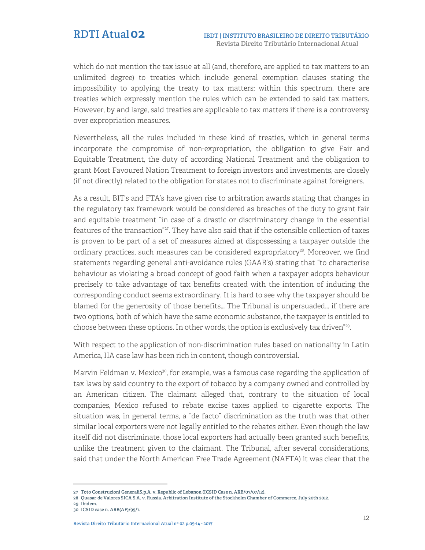which do not mention the tax issue at all (and, therefore, are applied to tax matters to an unlimited degree) to treaties which include general exemption clauses stating the impossibility to applying the treaty to tax matters; within this spectrum, there are treaties which expressly mention the rules which can be extended to said tax matters. However, by and large, said treaties are applicable to tax matters if there is a controversy over expropriation measures.

Nevertheless, all the rules included in these kind of treaties, which in general terms incorporate the compromise of non-expropriation, the obligation to give Fair and Equitable Treatment, the duty of according National Treatment and the obligation to grant Most Favoured Nation Treatment to foreign investors and investments, are closely (if not directly) related to the obligation for states not to discriminate against foreigners.

As a result, BIT's and FTA's have given rise to arbitration awards stating that changes in the regulatory tax framework would be considered as breaches of the duty to grant fair and equitable treatment "in case of a drastic or discriminatory change in the essential features of the transaction"<sup>27</sup>. They have also said that if the ostensible collection of taxes is proven to be part of a set of measures aimed at dispossessing a taxpayer outside the ordinary practices, such measures can be considered expropriatory<sup>28</sup>. Moreover, we find statements regarding general anti-avoidance rules (GAAR's) stating that "to characterise behaviour as violating a broad concept of good faith when a taxpayer adopts behaviour precisely to take advantage of tax benefits created with the intention of inducing the corresponding conduct seems extraordinary. It is hard to see why the taxpayer should be blamed for the generosity of those benefits… The Tribunal is unpersuaded… if there are two options, both of which have the same economic substance, the taxpayer is entitled to choose between these options. In other words, the option is exclusively tax driven $\mathbb{Z}^2$ .

With respect to the application of non-discrimination rules based on nationality in Latin America, IIA case law has been rich in content, though controversial.

Marvin Feldman v. Mexico<sup>30</sup>, for example, was a famous case regarding the application of tax laws by said country to the export of tobacco by a company owned and controlled by an American citizen. The claimant alleged that, contrary to the situation of local companies, Mexico refused to rebate excise taxes applied to cigarette exports. The situation was, in general terms, a "de facto" discrimination as the truth was that other similar local exporters were not legally entitled to the rebates either. Even though the law itself did not discriminate, those local exporters had actually been granted such benefits, unlike the treatment given to the claimant. The Tribunal, after several considerations, said that under the North American Free Trade Agreement (NAFTA) it was clear that the

j

**30 ICSID case n. ARB(AF)/99/1.**

**<sup>27</sup> Toto Construzioni GeneraliS.p.A. v. Republic of Lebanon (ICSID Case n. ARB/07/07/12).** 

**<sup>28</sup> Quasar de Valores SICA S.A. v. Russia. Arbitration Institute of the Stockholm Chamber of Commerce, July 20th 2012.**

**<sup>29</sup> Ibidem.**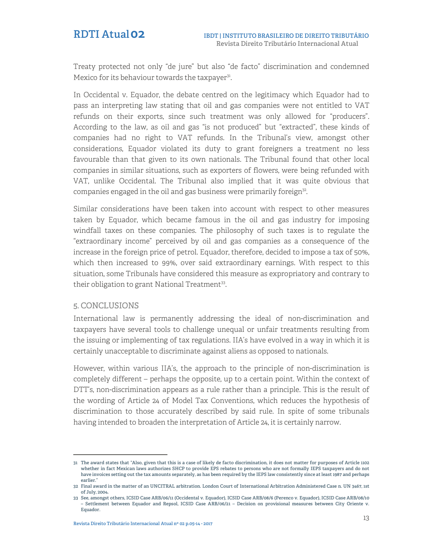Treaty protected not only "de jure" but also "de facto" discrimination and condemned Mexico for its behaviour towards the taxpayer<sup>31</sup>.

In Occidental v. Equador, the debate centred on the legitimacy which Equador had to pass an interpreting law stating that oil and gas companies were not entitled to VAT refunds on their exports, since such treatment was only allowed for "producers". According to the law, as oil and gas "is not produced" but "extracted", these kinds of companies had no right to VAT refunds. In the Tribunal's view, amongst other considerations, Equador violated its duty to grant foreigners a treatment no less favourable than that given to its own nationals. The Tribunal found that other local companies in similar situations, such as exporters of flowers, were being refunded with VAT, unlike Occidental. The Tribunal also implied that it was quite obvious that companies engaged in the oil and gas business were primarily foreign<sup>32</sup>.

Similar considerations have been taken into account with respect to other measures taken by Equador, which became famous in the oil and gas industry for imposing windfall taxes on these companies. The philosophy of such taxes is to regulate the "extraordinary income" perceived by oil and gas companies as a consequence of the increase in the foreign price of petrol. Equador, therefore, decided to impose a tax of 50%, which then increased to 99%, over said extraordinary earnings. With respect to this situation, some Tribunals have considered this measure as expropriatory and contrary to their obligation to grant National Treatment<sup>33</sup>.

## 5. CONCLUSIONS

j

International law is permanently addressing the ideal of non-discrimination and taxpayers have several tools to challenge unequal or unfair treatments resulting from the issuing or implementing of tax regulations. IIA's have evolved in a way in which it is certainly unacceptable to discriminate against aliens as opposed to nationals.

However, within various IIA's, the approach to the principle of non-discrimination is completely different – perhaps the opposite, up to a certain point. Within the context of DTT's, non-discrimination appears as a rule rather than a principle. This is the result of the wording of Article 24 of Model Tax Conventions, which reduces the hypothesis of discrimination to those accurately described by said rule. In spite of some tribunals having intended to broaden the interpretation of Article 24, it is certainly narrow.

**<sup>31</sup> The award states that "Also, given that this is a case of likely de facto discrimination, it does not matter for purposes of Article 1102 whether in fact Mexican laws authorizes SHCP to provide EPS rebates to persons who are not formally IEPS taxpayers and do not have invoices setting out the tax amounts separately, as has been required by the IEPS law consistently since at least 1987 and perhaps earlier."**

**<sup>32</sup> Final award in the matter of an UNCITRAL arbitration. London Court of International Arbitration Administered Case n. UN 3467, 1st of July, 2004.**

**<sup>33</sup> See, amongst others, ICSID Case ARB/06/11 (Occidental v. Equador), ICSID Case ARB/08/6 (Perenco v. Equador), ICSID Case ARB/08/10 – Settlement between Equador and Repsol, ICSID Case ARB/06/21 – Decision on provisional measures between City Oriente v. Equador.**